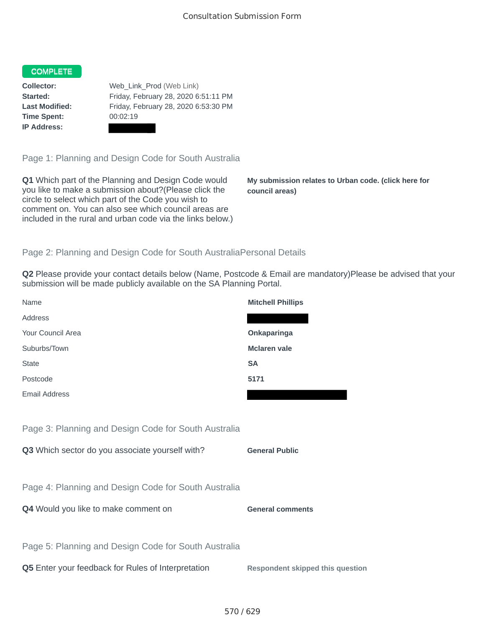## COMPLETE

**Time Spent:** 00:02:19 **IP Address:**

**Collector:** Web\_Link\_Prod (Web Link) **Started:** Friday, February 28, 2020 6:51:11 PM **Last Modified:** Friday, February 28, 2020 6:53:30 PM

Page 1: Planning and Design Code for South Australia

**Q1** Which part of the Planning and Design Code would you like to make a submission about?(Please click the circle to select which part of the Code you wish to comment on. You can also see which council areas are included in the rural and urban code via the links below.)

**My submission relates to Urban code. (click here for council areas)**

## Page 2: Planning and Design Code for South AustraliaPersonal Details

**Q2** Please provide your contact details below (Name, Postcode & Email are mandatory)Please be advised that your submission will be made publicly available on the SA Planning Portal.

| Name                                                 | <b>Mitchell Phillips</b>                |
|------------------------------------------------------|-----------------------------------------|
| Address                                              |                                         |
| Your Council Area                                    | Onkaparinga                             |
| Suburbs/Town                                         | <b>Mclaren</b> vale                     |
| <b>State</b>                                         | <b>SA</b>                               |
| Postcode                                             | 5171                                    |
| <b>Email Address</b>                                 |                                         |
|                                                      |                                         |
| Page 3: Planning and Design Code for South Australia |                                         |
| Q3 Which sector do you associate yourself with?      | <b>General Public</b>                   |
|                                                      |                                         |
| Page 4: Planning and Design Code for South Australia |                                         |
| Q4 Would you like to make comment on                 | <b>General comments</b>                 |
|                                                      |                                         |
| Page 5: Planning and Design Code for South Australia |                                         |
| Q5 Enter your feedback for Rules of Interpretation   | <b>Respondent skipped this question</b> |
|                                                      |                                         |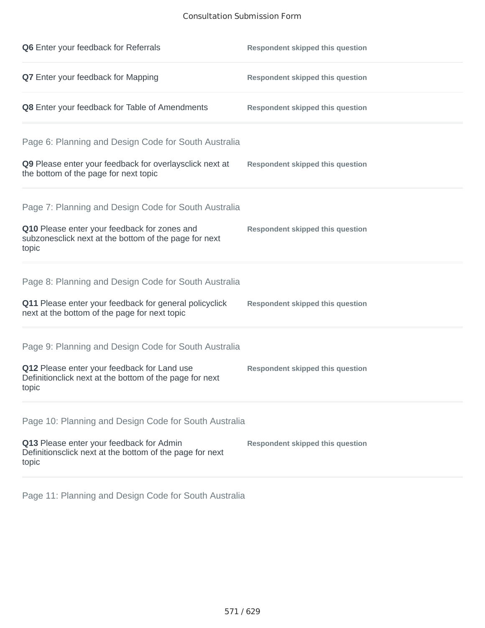## Consultation Submission Form

| Q6 Enter your feedback for Referrals                                                                            | <b>Respondent skipped this question</b> |
|-----------------------------------------------------------------------------------------------------------------|-----------------------------------------|
| Q7 Enter your feedback for Mapping                                                                              | <b>Respondent skipped this question</b> |
| Q8 Enter your feedback for Table of Amendments                                                                  | <b>Respondent skipped this question</b> |
| Page 6: Planning and Design Code for South Australia                                                            |                                         |
| Q9 Please enter your feedback for overlaysclick next at<br>the bottom of the page for next topic                | <b>Respondent skipped this question</b> |
| Page 7: Planning and Design Code for South Australia                                                            |                                         |
| Q10 Please enter your feedback for zones and<br>subzonesclick next at the bottom of the page for next<br>topic  | <b>Respondent skipped this question</b> |
| Page 8: Planning and Design Code for South Australia                                                            |                                         |
| Q11 Please enter your feedback for general policyclick<br>next at the bottom of the page for next topic         | <b>Respondent skipped this question</b> |
| Page 9: Planning and Design Code for South Australia                                                            |                                         |
| Q12 Please enter your feedback for Land use<br>Definitionclick next at the bottom of the page for next<br>topic | <b>Respondent skipped this question</b> |
| Page 10: Planning and Design Code for South Australia                                                           |                                         |
| Q13 Please enter your feedback for Admin<br>Definitionsclick next at the bottom of the page for next<br>topic   | <b>Respondent skipped this question</b> |

Page 11: Planning and Design Code for South Australia